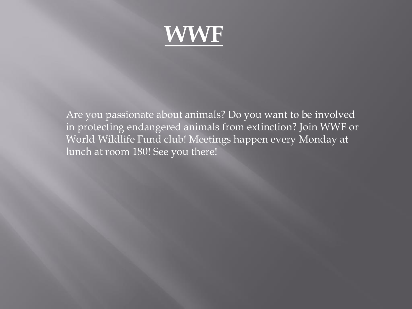

Are you passionate about animals? Do you want to be involved in protecting endangered animals from extinction? Join WWF or World Wildlife Fund club! Meetings happen every Monday at lunch at room 180! See you there!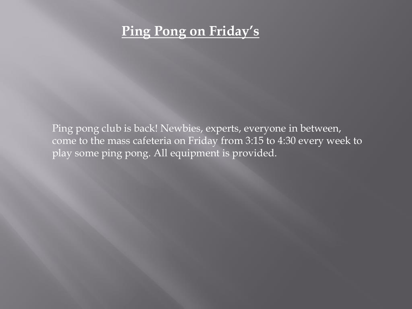#### **Ping Pong on Friday's**

Ping pong club is back! Newbies, experts, everyone in between, come to the mass cafeteria on Friday from 3:15 to 4:30 every week to play some ping pong. All equipment is provided.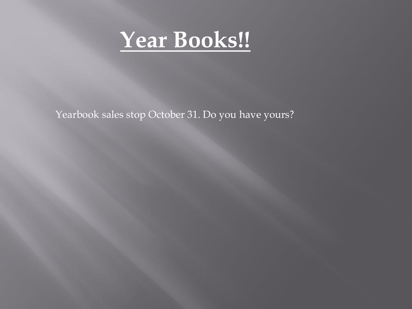

Yearbook sales stop October 31. Do you have yours?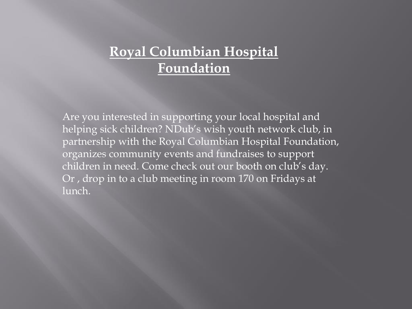#### **Royal Columbian Hospital Foundation**

Are you interested in supporting your local hospital and helping sick children? NDub's wish youth network club, in partnership with the Royal Columbian Hospital Foundation, organizes community events and fundraises to support children in need. Come check out our booth on club's day. Or , drop in to a club meeting in room 170 on Fridays at lunch.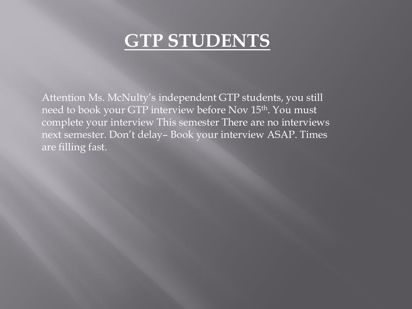### **GTP STUDENTS**

Attention Ms. McNulty's independent GTP students, you still need to book your GTP interview before Nov 15<sup>th</sup>. You must complete your interview This semester There are no interviews next semester. Don't delay– Book your interview ASAP. Times are filling fast.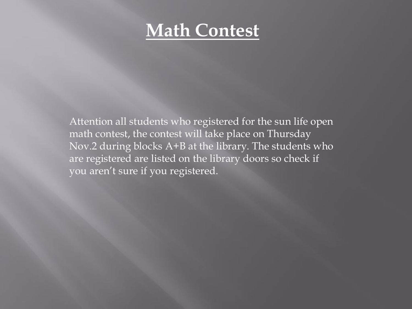### **Math Contest**

Attention all students who registered for the sun life open math contest, the contest will take place on Thursday Nov.2 during blocks A+B at the library. The students who are registered are listed on the library doors so check if you aren't sure if you registered.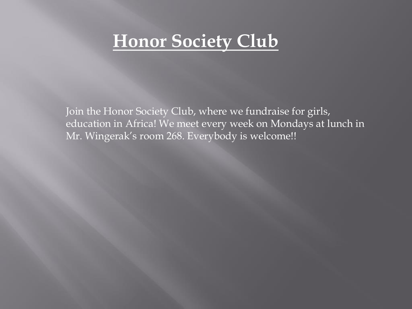### **Honor Society Club**

Join the Honor Society Club, where we fundraise for girls, education in Africa! We meet every week on Mondays at lunch in Mr. Wingerak's room 268. Everybody is welcome!!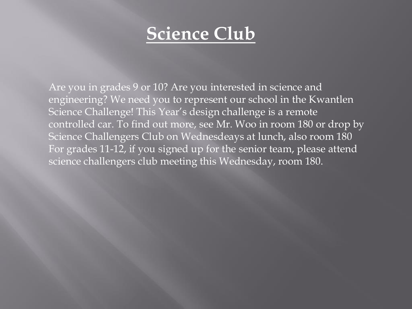### **Science Club**

Are you in grades 9 or 10? Are you interested in science and engineering? We need you to represent our school in the Kwantlen Science Challenge! This Year's design challenge is a remote controlled car. To find out more, see Mr. Woo in room 180 or drop by Science Challengers Club on Wednesdeays at lunch, also room 180 For grades 11-12, if you signed up for the senior team, please attend science challengers club meeting this Wednesday, room 180.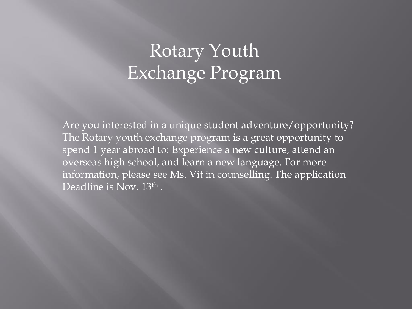## Rotary Youth Exchange Program

Are you interested in a unique student adventure/opportunity? The Rotary youth exchange program is a great opportunity to spend 1 year abroad to: Experience a new culture, attend an overseas high school, and learn a new language. For more information, please see Ms. Vit in counselling. The application Deadline is Nov. 13<sup>th</sup>.